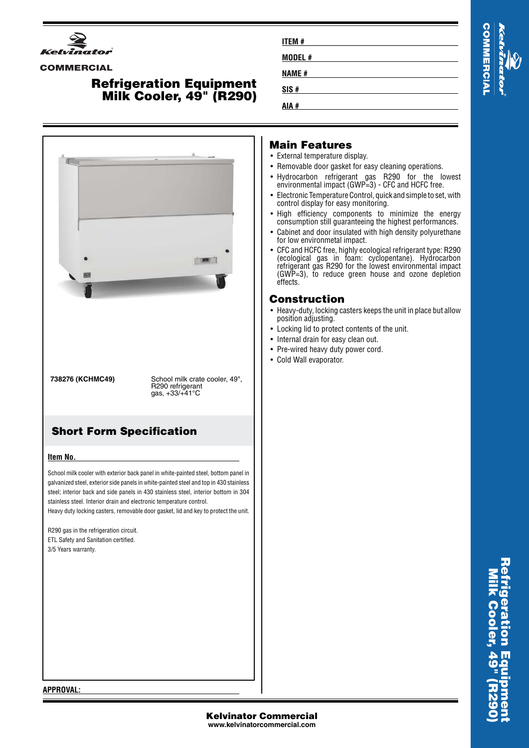

#### **COMMERCIAL**

# **Refrigeration Equipment Milk Cooler, 49" (R290)**



| <b>ITEM#</b> |  |  |
|--------------|--|--|
| MODEL#       |  |  |
| <b>NAME#</b> |  |  |
| SIS#         |  |  |
| AIA #        |  |  |

## **Main Features**

- External temperature display.
- Removable door gasket for easy cleaning operations.
- Hydrocarbon refrigerant gas R290 for the lowest environmental impact (GWP=3) - CFC and HCFC free.
- Electronic Temperature Control, quick and simple to set, with control display for easy monitoring.
- High efficiency components to minimize the energy consumption still guaranteeing the highest performances.
- • Cabinet and door insulated with high density polyurethane for low environmetal impact.
- CFC and HCFC free, highly ecological refrigerant type: R290 (ecological gas in foam: cyclopentane). Hydrocarbon refrigerant gas R290 for the lowest environmental impact (GWP=3), to reduce green house and ozone depletion effects.

## **Construction**

- Heavy-duty, locking casters keeps the unit in place but allow position adjusting.
- Locking lid to protect contents of the unit.
- Internal drain for easy clean out.
- Pre-wired heavy duty power cord.
- Cold Wall evaporator.

#### **APPROVAL:**